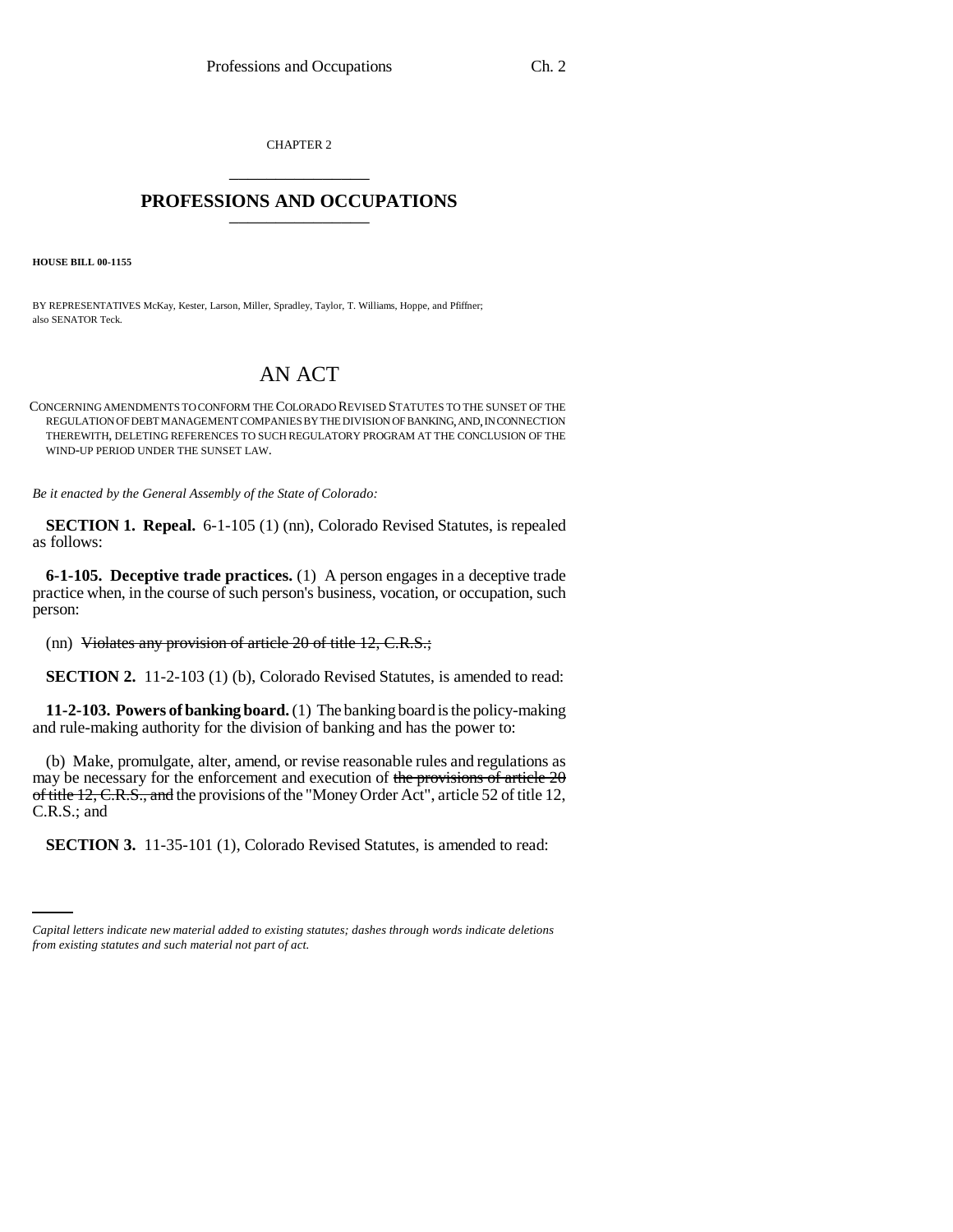CHAPTER 2 \_\_\_\_\_\_\_\_\_\_\_\_\_\_\_

## **PROFESSIONS AND OCCUPATIONS** \_\_\_\_\_\_\_\_\_\_\_\_\_\_\_

**HOUSE BILL 00-1155** 

BY REPRESENTATIVES McKay, Kester, Larson, Miller, Spradley, Taylor, T. Williams, Hoppe, and Pfiffner; also SENATOR Teck.

## AN ACT

CONCERNING AMENDMENTS TO CONFORM THE COLORADO REVISED STATUTES TO THE SUNSET OF THE REGULATION OF DEBT MANAGEMENT COMPANIES BY THE DIVISION OF BANKING, AND, IN CONNECTION THEREWITH, DELETING REFERENCES TO SUCH REGULATORY PROGRAM AT THE CONCLUSION OF THE WIND-UP PERIOD UNDER THE SUNSET LAW.

*Be it enacted by the General Assembly of the State of Colorado:*

**SECTION 1. Repeal.** 6-1-105 (1) (nn), Colorado Revised Statutes, is repealed as follows:

**6-1-105. Deceptive trade practices.** (1) A person engages in a deceptive trade practice when, in the course of such person's business, vocation, or occupation, such person:

(nn) Violates any provision of article 20 of title 12, C.R.S.;

**SECTION 2.** 11-2-103 (1) (b), Colorado Revised Statutes, is amended to read:

**11-2-103. Powers of banking board.** (1) The banking board is the policy-making and rule-making authority for the division of banking and has the power to:

(b) Make, promulgate, alter, amend, or revise reasonable rules and regulations as may be necessary for the enforcement and execution of the provisions of article  $2\theta$ of title 12, C.R.S., and the provisions of the "Money Order Act", article 52 of title 12, C.R.S.; and

**SECTION 3.** 11-35-101 (1), Colorado Revised Statutes, is amended to read:

*Capital letters indicate new material added to existing statutes; dashes through words indicate deletions from existing statutes and such material not part of act.*